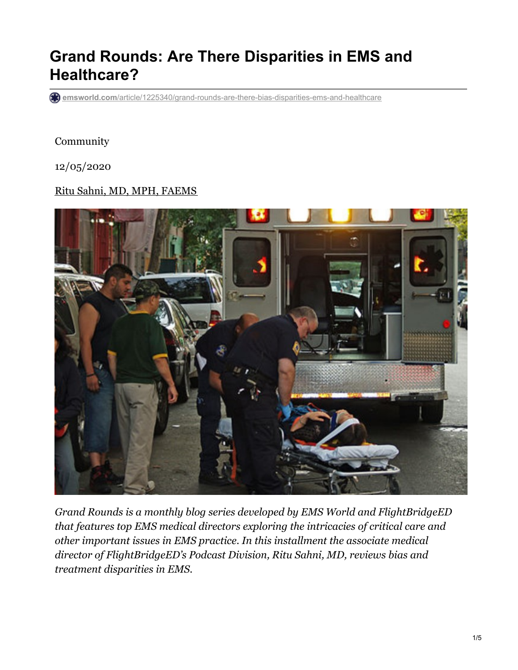# **Grand Rounds: Are There Disparities in EMS and Healthcare?**

**emsworld.com**[/article/1225340/grand-rounds-are-there-bias-disparities-ems-and-healthcare](https://www.emsworld.com/article/1225340/grand-rounds-are-there-bias-disparities-ems-and-healthcare)

#### Community

12/05/2020

#### Ritu Sahni, MD, MPH, [FAEMS](https://www.emsworld.com/contact/221790/ritu-sahni-md-mph-faems)



*Grand Rounds is a monthly blog series developed by EMS World and FlightBridgeED that features top EMS medical directors exploring the intricacies of critical care and other important issues in EMS practice. In this installment the associate medical director of FlightBridgeED's Podcast Division, Ritu Sahni, MD, reviews bias and treatment disparities in EMS.*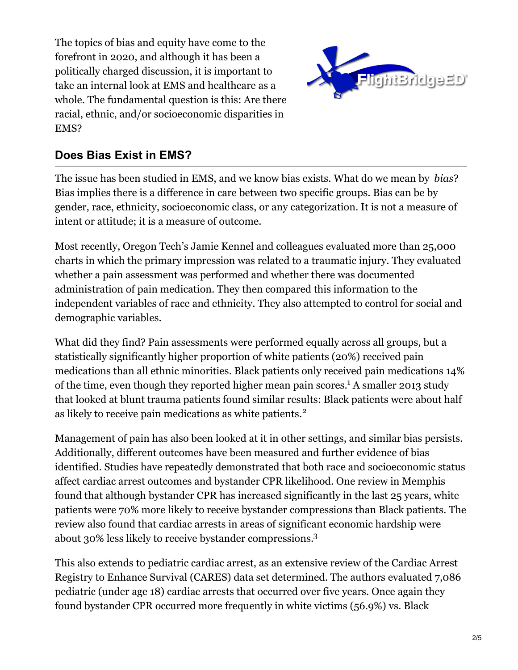The topics of bias and equity have come to the forefront in 2020, and although it has been a politically charged discussion, it is important to take an internal look at EMS and healthcare as a whole. The fundamental question is this: Are there racial, ethnic, and/or socioeconomic disparities in EMS?



### **Does Bias Exist in EMS?**

The issue has been studied in EMS, and we know bias exists. What do we mean by *bias*? Bias implies there is a difference in care between two specific groups. Bias can be by gender, race, ethnicity, socioeconomic class, or any categorization. It is not a measure of intent or attitude; it is a measure of outcome.

Most recently, Oregon Tech's Jamie Kennel and colleagues evaluated more than 25,000 charts in which the primary impression was related to a traumatic injury. They evaluated whether a pain assessment was performed and whether there was documented administration of pain medication. They then compared this information to the independent variables of race and ethnicity. They also attempted to control for social and demographic variables.

What did they find? Pain assessments were performed equally across all groups, but a statistically significantly higher proportion of white patients (20%) received pain medications than all ethnic minorities. Black patients only received pain medications 14% of the time, even though they reported higher mean pain scores.<sup>1</sup> A smaller 2013 study that looked at blunt trauma patients found similar results: Black patients were about half as likely to receive pain medications as white patients. 2

Management of pain has also been looked at it in other settings, and similar bias persists. Additionally, different outcomes have been measured and further evidence of bias identified. Studies have repeatedly demonstrated that both race and socioeconomic status affect cardiac arrest outcomes and bystander CPR likelihood. One review in Memphis found that although bystander CPR has increased significantly in the last 25 years, white patients were 70% more likely to receive bystander compressions than Black patients. The review also found that cardiac arrests in areas of significant economic hardship were about 30% less likely to receive bystander compressions. 3

This also extends to pediatric cardiac arrest, as an extensive review of the Cardiac Arrest Registry to Enhance Survival (CARES) data set determined. The authors evaluated 7,086 pediatric (under age 18) cardiac arrests that occurred over five years. Once again they found bystander CPR occurred more frequently in white victims (56.9%) vs. Black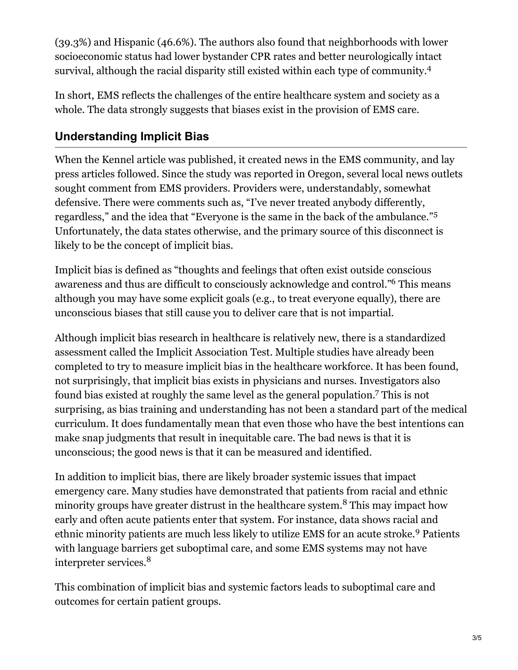(39.3%) and Hispanic (46.6%). The authors also found that neighborhoods with lower socioeconomic status had lower bystander CPR rates and better neurologically intact survival, although the racial disparity still existed within each type of community.<sup>4</sup>

In short, EMS reflects the challenges of the entire healthcare system and society as a whole. The data strongly suggests that biases exist in the provision of EMS care.

## **Understanding Implicit Bias**

When the Kennel article was published, it created news in the EMS community, and lay press articles followed. Since the study was reported in Oregon, several local news outlets sought comment from EMS providers. Providers were, understandably, somewhat defensive. There were comments such as, "I've never treated anybody differently, regardless," and the idea that "Everyone is the same in the back of the ambulance." 5 Unfortunately, the data states otherwise, and the primary source of this disconnect is likely to be the concept of implicit bias.

Implicit bias is defined as "thoughts and feelings that often exist outside conscious awareness and thus are difficult to consciously acknowledge and control."<sup>6</sup> This means although you may have some explicit goals (e.g., to treat everyone equally), there are unconscious biases that still cause you to deliver care that is not impartial.

Although implicit bias research in healthcare is relatively new, there is a standardized assessment called the Implicit Association Test. Multiple studies have already been completed to try to measure implicit bias in the healthcare workforce. It has been found, not surprisingly, that implicit bias exists in physicians and nurses. Investigators also found bias existed at roughly the same level as the general population.<sup>7</sup> This is not surprising, as bias training and understanding has not been a standard part of the medical curriculum. It does fundamentally mean that even those who have the best intentions can make snap judgments that result in inequitable care. The bad news is that it is unconscious; the good news is that it can be measured and identified.

In addition to implicit bias, there are likely broader systemic issues that impact emergency care. Many studies have demonstrated that patients from racial and ethnic minority groups have greater distrust in the healthcare system.<sup>8</sup> This may impact how early and often acute patients enter that system. For instance, data shows racial and ethnic minority patients are much less likely to utilize EMS for an acute stroke.<sup>9</sup> Patients with language barriers get suboptimal care, and some EMS systems may not have interpreter services.<sup>8</sup>

This combination of implicit bias and systemic factors leads to suboptimal care and outcomes for certain patient groups.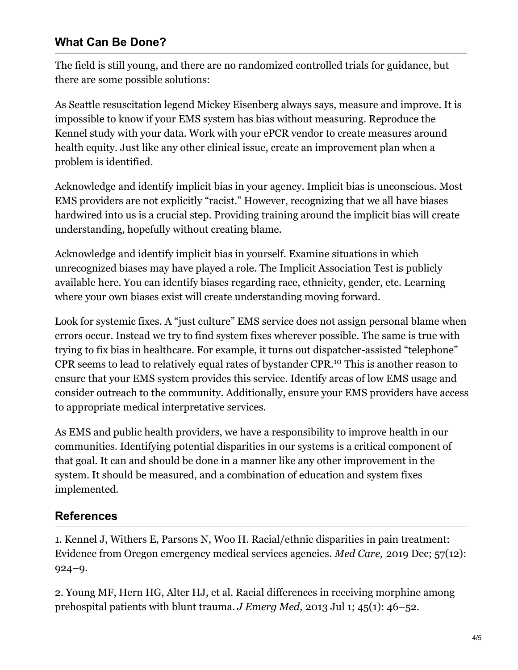#### **What Can Be Done?**

The field is still young, and there are no randomized controlled trials for guidance, but there are some possible solutions:

As Seattle resuscitation legend Mickey Eisenberg always says, measure and improve. It is impossible to know if your EMS system has bias without measuring. Reproduce the Kennel study with your data. Work with your ePCR vendor to create measures around health equity. Just like any other clinical issue, create an improvement plan when a problem is identified.

Acknowledge and identify implicit bias in your agency. Implicit bias is unconscious. Most EMS providers are not explicitly "racist." However, recognizing that we all have biases hardwired into us is a crucial step. Providing training around the implicit bias will create understanding, hopefully without creating blame.

Acknowledge and identify implicit bias in yourself. Examine situations in which unrecognized biases may have played a role. The Implicit Association Test is publicly available [here](https://implicit.harvard.edu/implicit/takeatest.html). You can identify biases regarding race, ethnicity, gender, etc. Learning where your own biases exist will create understanding moving forward.

Look for systemic fixes. A "just culture" EMS service does not assign personal blame when errors occur. Instead we try to find system fixes wherever possible. The same is true with trying to fix bias in healthcare. For example, it turns out dispatcher-assisted "telephone" CPR seems to lead to relatively equal rates of bystander CPR.<sup>10</sup> This is another reason to ensure that your EMS system provides this service. Identify areas of low EMS usage and consider outreach to the community. Additionally, ensure your EMS providers have access to appropriate medical interpretative services.

As EMS and public health providers, we have a responsibility to improve health in our communities. Identifying potential disparities in our systems is a critical component of that goal. It can and should be done in a manner like any other improvement in the system. It should be measured, and a combination of education and system fixes implemented.

#### **References**

1. Kennel J, Withers E, Parsons N, Woo H. Racial/ethnic disparities in pain treatment: Evidence from Oregon emergency medical services agencies. *Med Care,* 2019 Dec; 57(12): 924–9.

2. Young MF, Hern HG, Alter HJ, et al. Racial differences in receiving morphine among prehospital patients with blunt trauma. *J Emerg Med,* 2013 Jul 1; 45(1): 46–52.